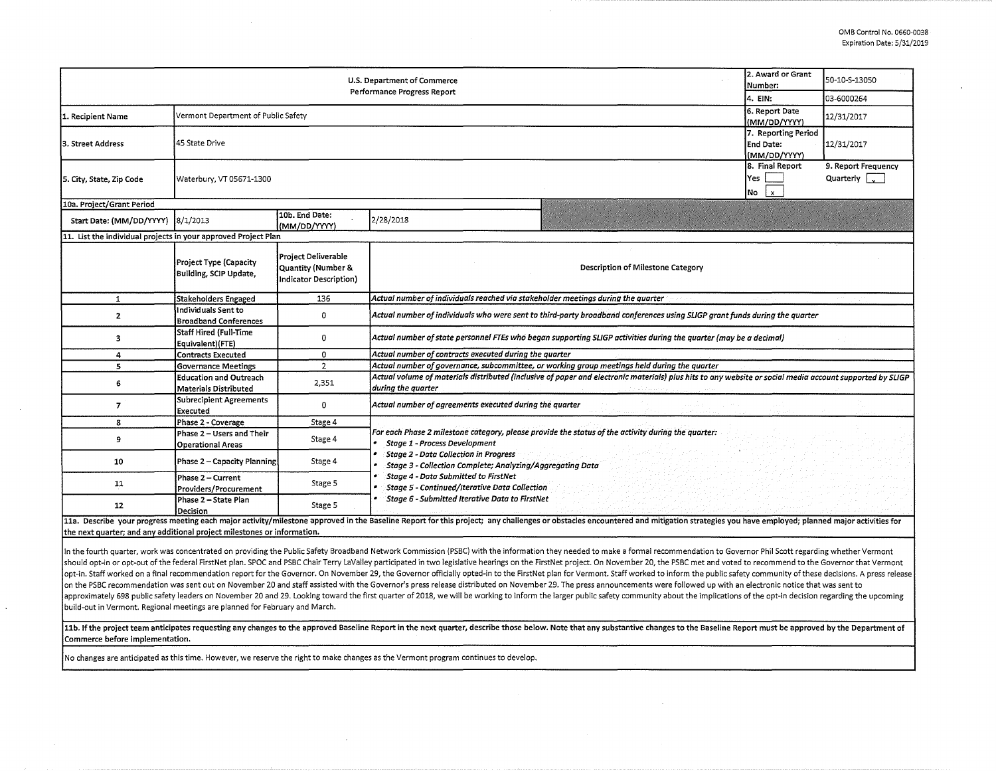| 2. Award or Grant<br>U.S. Department of Commerce<br>Performance Progress Report<br>4. EIN: |                                                        |                                                                     |                                                                                                                                                                                                                                                                                                                                                                                             |  | 50-10-S-13050 |  |  |  |  |
|--------------------------------------------------------------------------------------------|--------------------------------------------------------|---------------------------------------------------------------------|---------------------------------------------------------------------------------------------------------------------------------------------------------------------------------------------------------------------------------------------------------------------------------------------------------------------------------------------------------------------------------------------|--|---------------|--|--|--|--|
|                                                                                            |                                                        |                                                                     |                                                                                                                                                                                                                                                                                                                                                                                             |  | 03-6000264    |  |  |  |  |
| 1. Recipient Name                                                                          | Vermont Department of Public Safety                    | 6. Report Date<br>(MM/DD/YYYY)                                      | 12/31/2017                                                                                                                                                                                                                                                                                                                                                                                  |  |               |  |  |  |  |
| l3. Street Address                                                                         | 45 State Drive                                         | 7. Reporting Period<br><b>End Date:</b><br>(MM/DD/YYYY)             | 12/31/2017                                                                                                                                                                                                                                                                                                                                                                                  |  |               |  |  |  |  |
| 5. City, State, Zip Code                                                                   | Waterbury, VT 05671-1300                               | 8. Final Report<br>Yes<br>$\mathbf{x}$<br>No                        | 9. Report Frequency<br>Quarterly $\sqrt{2}$                                                                                                                                                                                                                                                                                                                                                 |  |               |  |  |  |  |
| 10a. Project/Grant Period                                                                  |                                                        |                                                                     |                                                                                                                                                                                                                                                                                                                                                                                             |  |               |  |  |  |  |
| Start Date: (MM/DD/YYYY) 8/1/2013                                                          |                                                        | 10b. End Date:<br>(MM/DD/YYYY)                                      | 2/28/2018                                                                                                                                                                                                                                                                                                                                                                                   |  |               |  |  |  |  |
| 11. List the individual projects in your approved Project Plan                             |                                                        |                                                                     |                                                                                                                                                                                                                                                                                                                                                                                             |  |               |  |  |  |  |
|                                                                                            | Project Type (Capacity<br>Building, SCIP Update,       | Project Deliverable<br>Quantity (Number &<br>Indicator Description) | Description of Milestone Category                                                                                                                                                                                                                                                                                                                                                           |  |               |  |  |  |  |
| $\mathbf{1}$                                                                               | Stakeholders Engaged                                   | 136                                                                 | Actual number of individuals reached via stakeholder meetings during the quarter                                                                                                                                                                                                                                                                                                            |  |               |  |  |  |  |
| $\mathbf{z}$                                                                               | Individuals Sent to<br><b>Broadband Conferences</b>    | 0                                                                   | Actual number of individuals who were sent to third-party broadband conferences using SLIGP grant funds during the quarter                                                                                                                                                                                                                                                                  |  |               |  |  |  |  |
| 3                                                                                          | Staff Hired (Full-Time<br>Equivalent)(FTE)             | 0                                                                   | Actual number of state personnel FTEs who began supporting SLIGP activities during the guarter (may be a decimal)                                                                                                                                                                                                                                                                           |  |               |  |  |  |  |
| 4                                                                                          | <b>Contracts Executed</b>                              | 0                                                                   | Actual number of contracts executed during the quarter                                                                                                                                                                                                                                                                                                                                      |  |               |  |  |  |  |
| 5                                                                                          | <b>Governance Meetings</b>                             | $\overline{2}$                                                      | Actual number of governance, subcommittee, or working group meetings held during the quarter                                                                                                                                                                                                                                                                                                |  |               |  |  |  |  |
| 6                                                                                          | <b>Education and Outreach</b><br>Materials Distributed | 2,351                                                               | Actual volume of materials distributed (inclusive of paper and electronic materials) plus hits to any website or social media account supported by SLIGP<br>during the quarter                                                                                                                                                                                                              |  |               |  |  |  |  |
| $\overline{7}$                                                                             | Subrecipient Agreements<br><b>Executed</b>             | $\Omega$                                                            | Actual number of agreements executed during the quarter                                                                                                                                                                                                                                                                                                                                     |  |               |  |  |  |  |
| 8                                                                                          | Phase 2 - Coverage                                     | Stage 4                                                             |                                                                                                                                                                                                                                                                                                                                                                                             |  |               |  |  |  |  |
| 9                                                                                          | Phase 2 – Users and Their<br><b>Operational Areas</b>  | Stage 4                                                             | For each Phase 2 milestone category, please provide the status of the activity during the quarter:<br>Stage 1 - Process Development<br><b>Stage 2 - Data Collection in Progress</b><br>Stage 3 - Collection Complete; Analyzing/Aggregating Data<br>Stage 4 - Data Submitted to FirstNet<br>Stage 5 - Continued/Iterative Data Collection<br>Stage 6 - Submitted Iterative Data to FirstNet |  |               |  |  |  |  |
| 10                                                                                         | Phase 2 - Capacity Planning                            | Stage 4                                                             |                                                                                                                                                                                                                                                                                                                                                                                             |  |               |  |  |  |  |
| 11                                                                                         | Phase 2 - Current<br>Providers/Procurement             | Stage 5                                                             |                                                                                                                                                                                                                                                                                                                                                                                             |  |               |  |  |  |  |
| 12                                                                                         | Phase 2 - State Plan<br>Decision                       | Stage 5                                                             |                                                                                                                                                                                                                                                                                                                                                                                             |  |               |  |  |  |  |
|                                                                                            |                                                        |                                                                     | 11a. Describe your progress meeting each major activity/milestone approved in the Baseline Report for this project; any challenges or obstacles encountered and mitigation strategies you have employed; planned major activit                                                                                                                                                              |  |               |  |  |  |  |

the next quarter; and any additional project milestones or information.

In the fourth quarter, work was concentrated on providing the Public Safety Broadband Network Commission (PSBC) with the information they needed to make a formal recommendation to Governor Phil Scott regarding whether Verm should opt-in or opt-out of the federal FirstNet plan. SPOC and PSBC Chair Terry LaValley participated in two legislative hearings on the FirstNet project. On November 20, the PSBC met and voted to recommend to the Governo opt-in. Staff worked on a final recommendation report for the Governor. On November 29, the Governor officially opted-in to the FirstNet plan for Vermont. Staff worked to inform the public safety community of these decisio on the PSBC recommendation was sent out on November 20 and staff assisted with the Governor's press release distributed on November 29. The press announcements were followed up with an electronic notice that was sent to approximately 698 public safety leaders on November 20 and 29. Looking toward the first quarter of 2018, we will be working to inform the larger public safety community about the implications of the opt-in decision regardi build-out in Vermont. Regional meetings are planned for February and March.

11b. If the project team anticipates requesting any changes to the approved Baseline Report in the next quarter, describe those below. Note that any substantive changes to the Baseline Report must be approved by the Depart Commerce before implementation.

No changes are anticipated as this time. However, we reserve the right to make changes as the Vermont program continues to develop.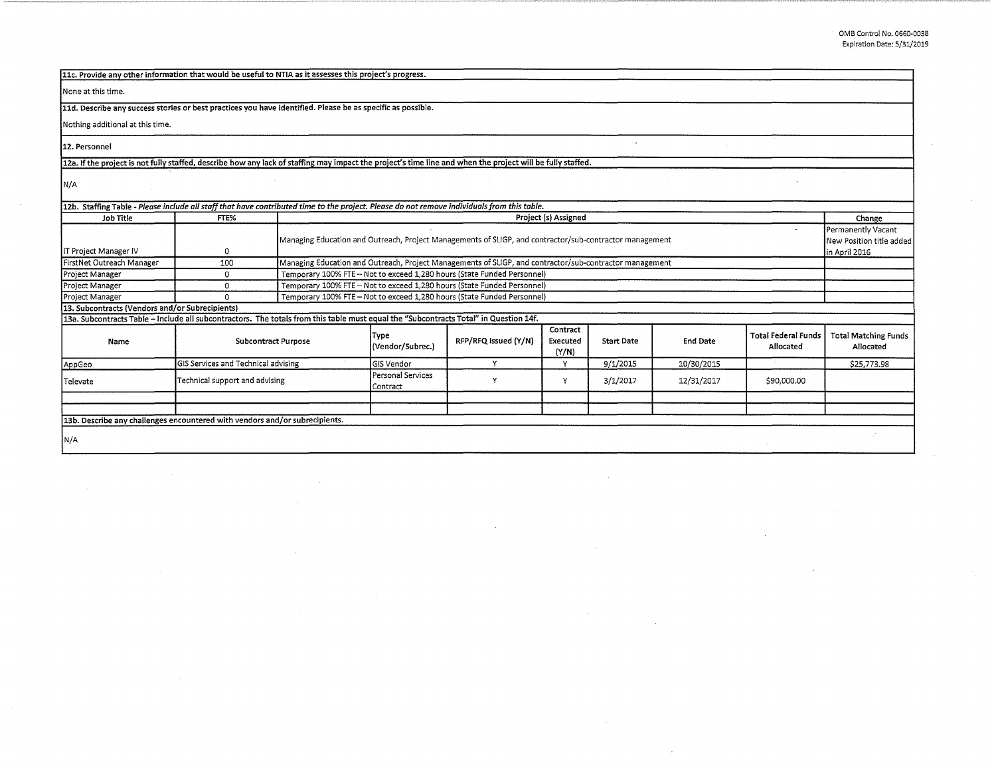| 11c. Provide any other information that would be useful to NTIA as it assesses this project's progress.                                                    |                                                                                                         |                                                                         |                                                                                                         |                      |                               |                   |                 |                                         |                                          |  |
|------------------------------------------------------------------------------------------------------------------------------------------------------------|---------------------------------------------------------------------------------------------------------|-------------------------------------------------------------------------|---------------------------------------------------------------------------------------------------------|----------------------|-------------------------------|-------------------|-----------------|-----------------------------------------|------------------------------------------|--|
| None at this time.                                                                                                                                         |                                                                                                         |                                                                         |                                                                                                         |                      |                               |                   |                 |                                         |                                          |  |
| 11d. Describe any success stories or best practices you have identified. Please be as specific as possible.                                                |                                                                                                         |                                                                         |                                                                                                         |                      |                               |                   |                 |                                         |                                          |  |
| Nothing additional at this time.                                                                                                                           |                                                                                                         |                                                                         |                                                                                                         |                      |                               |                   |                 |                                         |                                          |  |
|                                                                                                                                                            |                                                                                                         |                                                                         |                                                                                                         |                      |                               |                   |                 |                                         |                                          |  |
| 12. Personnel                                                                                                                                              |                                                                                                         |                                                                         |                                                                                                         |                      |                               |                   |                 |                                         |                                          |  |
| 12a. If the project is not fully staffed, describe how any lack of staffing may impact the project's time line and when the project will be fully staffed. |                                                                                                         |                                                                         |                                                                                                         |                      |                               |                   |                 |                                         |                                          |  |
| N/A                                                                                                                                                        |                                                                                                         |                                                                         |                                                                                                         |                      |                               |                   |                 |                                         |                                          |  |
| 12b. Staffing Table - Please include all staff that have contributed time to the project. Please do not remove individuals from this table.                |                                                                                                         |                                                                         |                                                                                                         |                      |                               |                   |                 |                                         |                                          |  |
| <b>Job Title</b>                                                                                                                                           | FTE%                                                                                                    |                                                                         | Project (s) Assigned                                                                                    |                      |                               |                   |                 |                                         | Change                                   |  |
|                                                                                                                                                            |                                                                                                         |                                                                         |                                                                                                         |                      |                               |                   |                 |                                         | Permanently Vacant                       |  |
|                                                                                                                                                            | Managing Education and Outreach, Project Managements of SLIGP, and contractor/sub-contractor management |                                                                         |                                                                                                         |                      |                               |                   |                 | New Position title added                |                                          |  |
| IT Project Manager IV                                                                                                                                      | 0                                                                                                       | in April 2016                                                           |                                                                                                         |                      |                               |                   |                 |                                         |                                          |  |
| FirstNet Outreach Manager                                                                                                                                  | 100                                                                                                     |                                                                         | Managing Education and Outreach, Project Managements of SLIGP, and contractor/sub-contractor management |                      |                               |                   |                 |                                         |                                          |  |
| Project Manager                                                                                                                                            | $\mathbf 0$                                                                                             | Temporary 100% FTE - Not to exceed 1,280 hours (State Funded Personnel) |                                                                                                         |                      |                               |                   |                 |                                         |                                          |  |
| Project Manager                                                                                                                                            | 0                                                                                                       | Temporary 100% FTE - Not to exceed 1,280 hours (State Funded Personnel) |                                                                                                         |                      |                               |                   |                 |                                         |                                          |  |
| Project Manager                                                                                                                                            | $\Omega$                                                                                                | Temporary 100% FTE - Not to exceed 1,280 hours (State Funded Personnel) |                                                                                                         |                      |                               |                   |                 |                                         |                                          |  |
| 13. Subcontracts (Vendors and/or Subrecipients)                                                                                                            |                                                                                                         |                                                                         |                                                                                                         |                      |                               |                   |                 |                                         |                                          |  |
| 13a. Subcontracts Table - Include all subcontractors. The totals from this table must equal the "Subcontracts Total" in Question 14f.                      |                                                                                                         |                                                                         |                                                                                                         |                      |                               |                   |                 |                                         |                                          |  |
| Name                                                                                                                                                       | <b>Subcontract Purpose</b>                                                                              |                                                                         | Type<br>(Vendor/Subrec.)                                                                                | RFP/RFQ Issued (Y/N) | Contract<br>Executed<br>(Y/N) | <b>Start Date</b> | <b>End Date</b> | <b>Total Federal Funds</b><br>Allocated | <b>Total Matching Funds</b><br>Allocated |  |
| AppGeo                                                                                                                                                     | GIS Services and Technical advising                                                                     |                                                                         | <b>GIS</b> Vendor                                                                                       | Y                    | v                             | 9/1/2015          | 10/30/2015      |                                         | \$25,773.98                              |  |
| Televate                                                                                                                                                   | Technical support and advising                                                                          |                                                                         | Personal Services<br>Contract                                                                           | Y                    | Y                             | 3/1/2017          | 12/31/2017      | \$90,000.00                             |                                          |  |
|                                                                                                                                                            |                                                                                                         |                                                                         |                                                                                                         |                      |                               |                   |                 |                                         |                                          |  |
|                                                                                                                                                            |                                                                                                         |                                                                         |                                                                                                         |                      |                               |                   |                 |                                         |                                          |  |
| 13b. Describe any challenges encountered with vendors and/or subrecipients.                                                                                |                                                                                                         |                                                                         |                                                                                                         |                      |                               |                   |                 |                                         |                                          |  |
| N/A                                                                                                                                                        |                                                                                                         |                                                                         |                                                                                                         |                      |                               |                   |                 |                                         |                                          |  |

 $\mathcal{L}$ 

 $\sim$